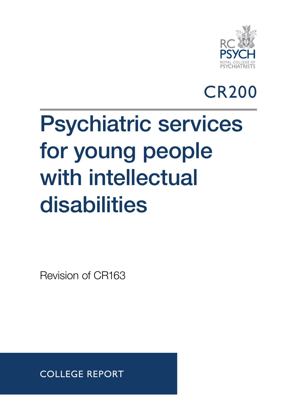

## CR200

# Psychiatric services for young people with intellectual disabilities

Revision of CR163

COLLEGE REPORT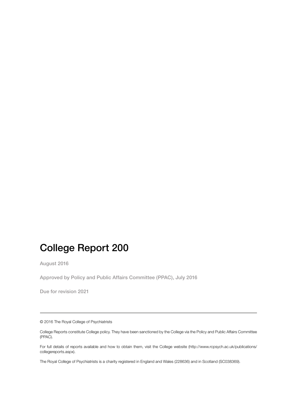## College Report 200

August 2016

Approved by Policy and Public Affairs Committee (PPAC), July 2016

Due for revision 2021

© 2016 The Royal College of Psychiatrists

College Reports constitute College policy. They have been sanctioned by the College via the Policy and Public Affairs Committee (PPAC).

For full details of reports available and how to obtain them, visit the College website (http://www.rcpsych.ac.uk/publications/ collegereports.aspx).

The Royal College of Psychiatrists is a charity registered in England and Wales (228636) and in Scotland (SC038369).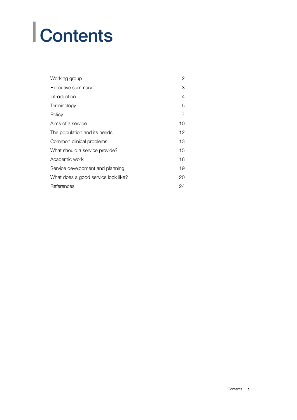# **Contents**

| Working group                       | $\overline{2}$ |
|-------------------------------------|----------------|
| Executive summary                   | 3              |
| Introduction                        | 4              |
| Terminology                         | 5              |
| Policy                              | 7              |
| Aims of a service                   | 10             |
| The population and its needs        | 12             |
| Common clinical problems            | 13             |
| What should a service provide?      | 15             |
| Academic work                       | 18             |
| Service development and planning    | 19             |
| What does a good service look like? | 20             |
| References                          | 24             |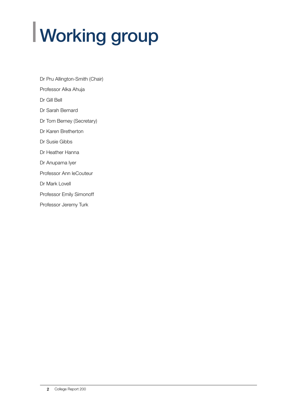# Working group

Dr Pru Allington-Smith (Chair) Professor Alka Ahuja Dr Gill Bell Dr Sarah Bernard Dr Tom Berney (Secretary) Dr Karen Bretherton Dr Susie Gibbs Dr Heather Hanna Dr Anupama Iyer Professor Ann leCouteur Dr Mark Lovell Professor Emily Simonoff Professor Jeremy Turk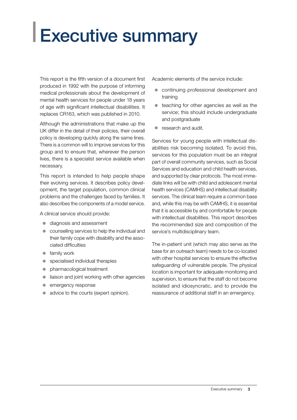## Executive summary

This report is the fifth version of a document first produced in 1992 with the purpose of informing medical professionals about the development of mental health services for people under 18 years of age with significant intellectual disabilities. It replaces CR163, which was published in 2010.

Although the administrations that make up the UK differ in the detail of their policies, their overall policy is developing quickly along the same lines. There is a common will to improve services for this group and to ensure that, wherever the person lives, there is a specialist service available when necessary.

This report is intended to help people shape their evolving services. It describes policy development, the target population, common clinical problems and the challenges faced by families. It also describes the components of a model service.

A clinical service should provide:

- diagnosis and assessment
- counselling services to help the individual and their family cope with disability and the associated difficulties
- $\bullet$  family work
- $\bullet$  specialised individual therapies
- pharmacological treatment
- $\bullet$  liaison and joint working with other agencies
- emergency response
- advice to the courts (expert opinion).

Academic elements of the service include:

- continuing professional development and training
- $\bullet$  teaching for other agencies as well as the service; this should include undergraduate and postgraduate
- $\bullet$  research and audit.

Services for young people with intellectual disabilities risk becoming isolated. To avoid this, services for this population must be an integral part of overall community services, such as Social Services and education and child health services, and supported by clear protocols. The most immediate links will be with child and adolescent mental health services (CAMHS) and intellectual disability services. The clinical team require a common base and, while this may be with CAMHS, it is essential that it is accessible by and comfortable for people with intellectual disabilities. This report describes the recommended size and composition of the service's multidisciplinary team.

The in-patient unit (which may also serve as the base for an outreach team) needs to be co-located with other hospital services to ensure the effective safeguarding of vulnerable people. The physical location is important for adequate monitoring and supervision, to ensure that the staff do not become isolated and idiosyncratic, and to provide the reassurance of additional staff in an emergency.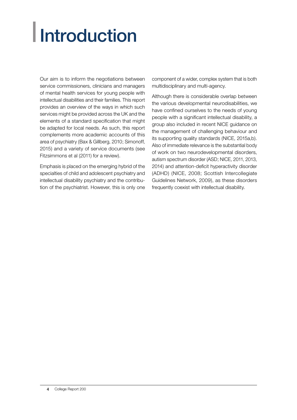# **Introduction**

Our aim is to inform the negotiations between service commissioners, clinicians and managers of mental health services for young people with intellectual disabilities and their families. This report provides an overview of the ways in which such services might be provided across the UK and the elements of a standard specification that might be adapted for local needs. As such, this report complements more academic accounts of this area of psychiatry (Bax & Gillberg, 2010; Simonoff, 2015) and a variety of service documents (see Fitzsimmons et al (2011) for a review).

Emphasis is placed on the emerging hybrid of the specialties of child and adolescent psychiatry and intellectual disability psychiatry and the contribution of the psychiatrist. However, this is only one component of a wider, complex system that is both multidisciplinary and multi-agency.

Although there is considerable overlap between the various developmental neurodisabilities, we have confined ourselves to the needs of young people with a significant intellectual disability, a group also included in recent NICE guidance on the management of challenging behaviour and its supporting quality standards (NICE, 2015a,b). Also of immediate relevance is the substantial body of work on two neurodevelopmental disorders, autism spectrum disorder (ASD; NICE, 2011, 2013, 2014) and attention-deficit hyperactivity disorder (ADHD) (NICE, 2008; Scottish Intercollegiate Guidelines Network, 2009), as these disorders frequently coexist with intellectual disability.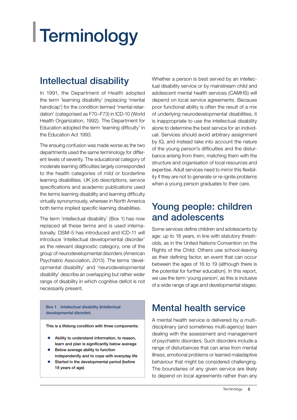# Terminology

## Intellectual disability

In 1991, the Department of Health adopted the term 'learning disability' (replacing 'mental handicap') for the condition termed 'mental retardation' (categorised as F70–F73) in ICD-10 (World Health Organization, 1992). The Department for Education adopted the term 'learning difficulty' in the Education Act 1993.

The ensuing confusion was made worse as the two departments used the same terminology for different levels of severity. The educational category of moderate learning difficulties largely corresponded to the health categories of mild or borderline learning disabilities. UK job descriptions, service specifications and academic publications used the terms learning disability and learning difficulty virtually synonymously, whereas in North America both terms implied specific learning disabilities.

The term 'intellectual disability' (Box 1) has now replaced all these terms and is used internationally. DSM-5 has introduced and ICD-11 will introduce 'intellectual developmental disorder' as the relevant diagnostic category, one of the group of neurodevelopmental disorders (American Psychiatric Association, 2013). The terms 'developmental disability' and 'neurodevelopmental disability' describe an overlapping but rather wider range of disability in which cognitive deficit is not necessarily present.

Box 1 Intellectual disability (intellectual developmental disorder)

This is a lifelong condition with three components:

- $\bullet$  Ability to understand information, to reason, learn and plan is significantly below average
- Below average ability to function independently and to cope with everyday life
- Started in the developmental period (before 18 years of age)

Whether a person is best served by an intellectual disability service or by mainstream child and adolescent mental health services (CAMHS) will depend on local service agreements. Because poor functional ability is often the result of a mix of underlying neurodevelopmental disabilities, it is inappropriate to use the intellectual disability alone to determine the best service for an individual. Services should avoid arbitrary assignment by IQ, and instead take into account the nature of the young person's difficulties and the disturbance arising from them, matching them with the structure and organisation of local resources and expertise. Adult services need to mirror this flexibility if they are not to generate or re-ignite problems when a young person graduates to their care.

### Young people: children and adolescents

Some services define children and adolescents by age: up to 18 years, in line with statutory thresholds, as in the United Nations Convention on the Rights of the Child. Others use school-leaving as their defining factor, an event that can occur between the ages of 16 to 19 (although there is the potential for further education). In this report, we use the term 'young person', as this is inclusive of a wide range of age and developmental stages.

## Mental health service

A mental health service is delivered by a multidisciplinary (and sometimes multi-agency) team dealing with the assessment and management of psychiatric disorders. Such disorders include a range of disturbances that can arise from mental illness, emotional problems or learned maladaptive behaviour that might be considered challenging. The boundaries of any given service are likely to depend on local agreements rather than any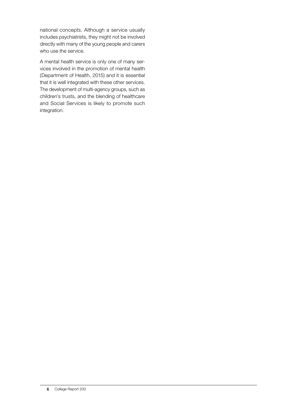national concepts. Although a service usually includes psychiatrists, they might not be involved directly with many of the young people and carers who use the service.

A mental health service is only one of many services involved in the promotion of mental health (Department of Health, 2015) and it is essential that it is well integrated with these other services. The development of multi-agency groups, such as children's trusts, and the blending of healthcare and Social Services is likely to promote such integration.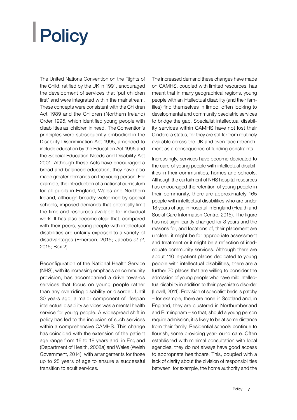# Policy

The United Nations Convention on the Rights of the Child, ratified by the UK in 1991, encouraged the development of services that 'put children first' and were integrated within the mainstream. These concepts were consistent with the Children Act 1989 and the Children (Northern Ireland) Order 1995, which identified young people with disabilities as 'children in need'. The Convention's principles were subsequently embodied in the Disability Discrimination Act 1995, amended to include education by the Education Act 1996 and the Special Education Needs and Disability Act 2001. Although these Acts have encouraged a broad and balanced education, they have also made greater demands on the young person. For example, the introduction of a national curriculum for all pupils in England, Wales and Northern Ireland, although broadly welcomed by special schools, imposed demands that potentially limit the time and resources available for individual work. It has also become clear that, compared with their peers, young people with intellectual disabilities are unfairly exposed to a variety of disadvantages (Emerson, 2015; Jacobs *et al*, 2015; Box 2).

Reconfiguration of the National Health Service (NHS), with its increasing emphasis on community provision, has accompanied a drive towards services that focus on young people rather than any overriding disability or disorder. Until 30 years ago, a major component of lifespan intellectual disability services was a mental health service for young people. A widespread shift in policy has led to the inclusion of such services within a comprehensive CAMHS. This change has coincided with the extension of the patient age range from 16 to 18 years and, in England (Department of Health, 2008*a*) and Wales (Welsh Government, 2014), with arrangements for those up to 25 years of age to ensure a successful transition to adult services.

The increased demand these changes have made on CAMHS, coupled with limited resources, has meant that in many geographical regions, young people with an intellectual disability (and their families) find themselves in limbo, often looking to developmental and community paediatric services to bridge the gap. Specialist intellectual disability services within CAMHS have not lost their Cinderella status, for they are still far from routinely available across the UK and even face retrenchment as a consequence of funding constraints.

Increasingly, services have become dedicated to the care of young people with intellectual disabilities in their communities, homes and schools. Although the curtailment of NHS hospital resources has encouraged the retention of young people in their community, there are approximately 165 people with intellectual disabilities who are under 18 years of age in hospital in England (Health and Social Care Information Centre, 2015). The figure has not significantly changed for 3 years and the reasons for, and locations of, their placement are unclear: it might be for appropriate assessment and treatment or it might be a reflection of inadequate community services. Although there are about 110 in-patient places dedicated to young people with intellectual disabilities, there are a further 70 places that are willing to consider the admission of young people who have mild intellectual disability in addition to their psychiatric disorder (Lovell, 2011). Provision of specialist beds is patchy – for example, there are none in Scotland and, in England, they are clustered in Northumberland and Birmingham – so that, should a young person require admission, it is likely to be at some distance from their family. Residential schools continue to flourish, some providing year-round care. Often established with minimal consultation with local agencies, they do not always have good access to appropriate healthcare. This, coupled with a lack of clarity about the division of responsibilities between, for example, the home authority and the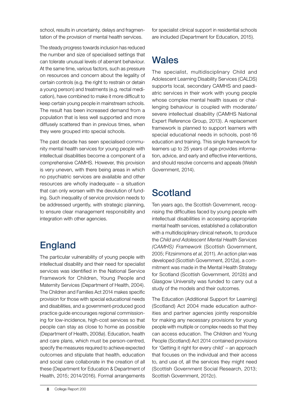school, results in uncertainty, delays and fragmentation of the provision of mental health services.

The steady progress towards inclusion has reduced the number and size of specialised settings that can tolerate unusual levels of aberrant behaviour. At the same time, various factors, such as pressure on resources and concern about the legality of certain controls (e.g. the right to restrain or detain a young person) and treatments (e.g. rectal medication), have combined to make it more difficult to keep certain young people in mainstream schools. The result has been increased demand from a population that is less well supported and more diffusely scattered than in previous times, when they were grouped into special schools.

The past decade has seen specialised community mental health services for young people with intellectual disabilities become a component of a comprehensive CAMHS. However, this provision is very uneven, with there being areas in which no psychiatric services are available and other resources are wholly inadequate – a situation that can only worsen with the devolution of funding. Such inequality of service provision needs to be addressed urgently, with strategic planning, to ensure clear management responsibility and integration with other agencies.

## England

The particular vulnerability of young people with intellectual disability and their need for specialist services was identified in the National Service Framework for Children, Young People and Maternity Services (Department of Health, 2004). The Children and Families Act 2014 makes specific provision for those with special educational needs and disabilities, and a government-produced good practice guide encourages regional commissioning for low-incidence, high-cost services so that people can stay as close to home as possible (Department of Health, 2008*a*). Education, health and care plans, which must be person-centred, specify the measures required to achieve expected outcomes and stipulate that health, education and social care collaborate in the creation of all these (Department for Education & Department of Health, 2015; 2014/2016). Formal arrangements

for specialist clinical support in residential schools are included (Department for Education, 2015).

## **Wales**

The specialist, multidisciplinary Child and Adolescent Learning Disability Services (CALDS) supports local, secondary CAMHS and paediatric services in their work with young people whose complex mental health issues or challenging behaviour is coupled with moderate/ severe intellectual disability (CAMHS National Expert Reference Group, 2013). A replacement framework is planned to support learners with special educational needs in schools, post-16 education and training. This single framework for learners up to 25 years of age provides information, advice, and early and effective interventions, and should resolve concerns and appeals (Welsh Government, 2014).

## **Scotland**

Ten years ago, the Scottish Government, recognising the difficulties faced by young people with intellectual disabilities in accessing appropriate mental health services, established a collaboration with a multidisciplinary clinical network, to produce the *Child and Adolescent Mental Health Services (CAMHS) Framework* (Scottish Government, 2005; Fitzsimmons *et al*, 2011). An action plan was developed (Scottish Government, 2012*a*), a commitment was made in the Mental Health Strategy for Scotland (Scottish Government, 2012*b*) and Glasgow University was funded to carry out a study of the models and their outcomes.

The Education (Additional Support for Learning) (Scotland) Act 2004 made education authorities and partner agencies jointly responsible for making any necessary provisions for young people with multiple or complex needs so that they can access education. The Children and Young People (Scotland) Act 2014 contained provisions for 'Getting it right for every child' – an approach that focuses on the individual and their access to, and use of, all the services they might need (Scottish Government Social Research, 2013; Scottish Government, 2012*c*).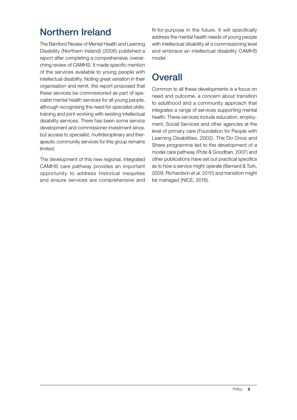## Northern Ireland

The Bamford Review of Mental Health and Learning Disability (Northern Ireland) (2006) published a report after completing a comprehensive, overarching review of CAMHS. It made specific mention of the services available to young people with intellectual disability. Noting great variation in their organisation and remit, the report proposed that these services be commissioned as part of specialist mental health services for all young people, although recognising the need for specialist skills, training and joint working with existing intellectual disability services. There has been some service development and commissioner investment since, but access to specialist, multidisciplinary and therapeutic community services for this group remains limited.

The development of this new regional, integrated CAMHS care pathway provides an important opportunity to address historical inequities and ensure services are comprehensive and fit-for-purpose in the future. It will specifically address the mental health needs of young people with intellectual disability at a commissioning level and embrace an intellectual disability CAMHS model.

## **Overall**

Common to all these developments is a focus on need and outcome, a concern about transition to adulthood and a community approach that integrates a range of services supporting mental health. These services include education, employment, Social Services and other agencies at the level of primary care (Foundation for People with Learning Disabilities, 2002). The Do Once and Share programme led to the development of a model care pathway (Pote & Goodban, 2007) and other publications have set out practical specifics as to how a service might operate (Bernard & Turk, 2009; Richardson *et al*, 2010) and transition might be managed (NICE, 2016).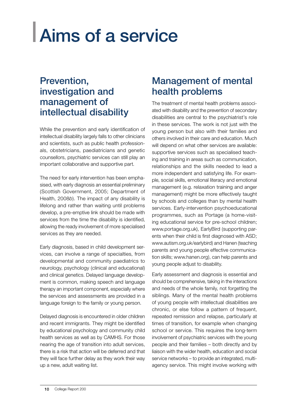## Aims of a service

#### Prevention, investigation and management of intellectual disability

While the prevention and early identification of intellectual disability largely falls to other clinicians and scientists, such as public health professionals, obstetricians, paediatricians and genetic counsellors, psychiatric services can still play an important collaborative and supportive part.

The need for early intervention has been emphasised, with early diagnosis an essential preliminary (Scottish Government, 2005; Department of Health, 2008*b*). The impact of any disability is lifelong and rather than waiting until problems develop, a pre-emptive link should be made with services from the time the disability is identified, allowing the ready involvement of more specialised services as they are needed.

Early diagnosis, based in child development services, can involve a range of specialties, from developmental and community paediatrics to neurology, psychology (clinical and educational) and clinical genetics. Delayed language development is common, making speech and language therapy an important component, especially where the services and assessments are provided in a language foreign to the family or young person.

Delayed diagnosis is encountered in older children and recent immigrants. They might be identified by educational psychology and community child health services as well as by CAMHS. For those nearing the age of transition into adult services, there is a risk that action will be deferred and that they will face further delay as they work their way up a new, adult waiting list.

### Management of mental health problems

The treatment of mental health problems associated with disability and the prevention of secondary disabilities are central to the psychiatrist's role in these services. The work is not just with the young person but also with their families and others involved in their care and education. Much will depend on what other services are available: supportive services such as specialised teaching and training in areas such as communication, relationships and the skills needed to lead a more independent and satisfying life. For example, social skills, emotional literacy and emotional management (e.g. relaxation training and anger management) might be more effectively taught by schools and colleges than by mental health services. Early-intervention psychoeducational programmes, such as Portage (a home-visiting educational service for pre-school children; www.portage.org.uk), EarlyBird (supporting parents when their child is first diagnosed with ASD; www.autism.org.uk/earlybird) and Hanen (teaching parents and young people effective communication skills; www.hanen.org), can help parents and young people adjust to disability.

Early assessment and diagnosis is essential and should be comprehensive, taking in the interactions and needs of the whole family, not forgetting the siblings. Many of the mental health problems of young people with intellectual disabilities are chronic, or else follow a pattern of frequent, repeated remission and relapse, particularly at times of transition, for example when changing school or service. This requires the long-term involvement of psychiatric services with the young people and their families – both directly and by liaison with the wider health, education and social service networks – to provide an integrated, multiagency service. This might involve working with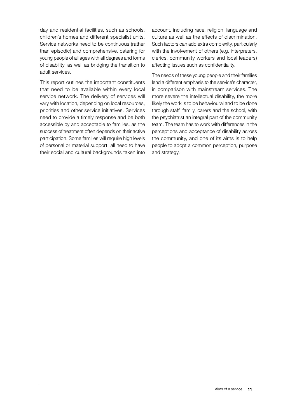day and residential facilities, such as schools, children's homes and different specialist units. Service networks need to be continuous (rather than episodic) and comprehensive, catering for young people of all ages with all degrees and forms of disability, as well as bridging the transition to adult services.

This report outlines the important constituents that need to be available within every local service network. The delivery of services will vary with location, depending on local resources, priorities and other service initiatives. Services need to provide a timely response and be both accessible by and acceptable to families, as the success of treatment often depends on their active participation. Some families will require high levels of personal or material support; all need to have their social and cultural backgrounds taken into account, including race, religion, language and culture as well as the effects of discrimination. Such factors can add extra complexity, particularly with the involvement of others (e.g. interpreters, clerics, community workers and local leaders) affecting issues such as confidentiality.

The needs of these young people and their families lend a different emphasis to the service's character, in comparison with mainstream services. The more severe the intellectual disability, the more likely the work is to be behavioural and to be done through staff, family, carers and the school, with the psychiatrist an integral part of the community team. The team has to work with differences in the perceptions and acceptance of disability across the community, and one of its aims is to help people to adopt a common perception, purpose and strategy.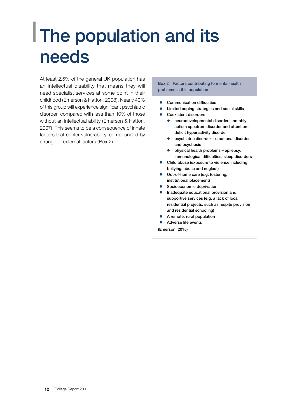## The population and its needs

At least 2.5% of the general UK population has an intellectual disability that means they will need specialist services at some point in their childhood (Emerson & Hatton, 2008). Nearly 40% of this group will experience significant psychiatric disorder, compared with less than 10% of those without an intellectual ability (Emerson & Hatton, 2007). This seems to be a consequence of innate factors that confer vulnerability, compounded by a range of external factors (Box 2).

#### Box 2 Factors contributing to mental health problems in this population

- z Communication difficulties
- Limited coping strategies and social skills
- Coexistent disorders
	- $\bullet$  neurodevelopmental disorder notably autism spectrum disorder and attentiondeficit hyperactivity disorder
	- $\bullet$  psychiatric disorder emotional disorder and psychosis
	- $\bullet$  physical health problems epilepsy, immunological difficulties, sleep disorders
- Child abuse (exposure to violence including bullying, abuse and neglect)
- Out-of-home care (e.g. fostering, institutional placement)
- Socioeconomic deprivation
- Inadequate educational provision and supportive services (e.g. a lack of local residential projects, such as respite provision and residential schooling)
- A remote, rural population
- Adverse life events

(Emerson, 2015)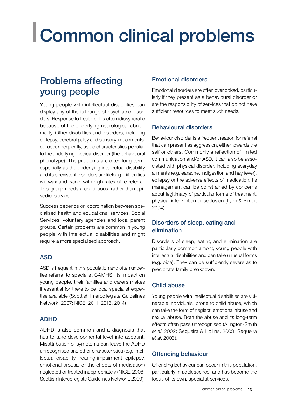## Common clinical problems

### Problems affecting young people

Young people with intellectual disabilities can display any of the full range of psychiatric disorders. Response to treatment is often idiosyncratic because of the underlying neurological abnormality. Other disabilities and disorders, including epilepsy, cerebral palsy and sensory impairments, co-occur frequently, as do characteristics peculiar to the underlying medical disorder (the behavioural phenotype). The problems are often long-term, especially as the underlying intellectual disability and its coexistent disorders are lifelong. Difficulties will wax and wane, with high rates of re-referral. This group needs a continuous, rather than episodic, service.

Success depends on coordination between specialised health and educational services, Social Services, voluntary agencies and local parent groups. Certain problems are common in young people with intellectual disabilities and might require a more specialised approach.

#### ASD

ASD is frequent in this population and often underlies referral to specialist CAMHS. Its impact on young people, their families and carers makes it essential for there to be local specialist expertise available (Scottish Intercollegiate Guidelines Network, 2007; NICE, 2011, 2013, 2014).

#### ADHD

ADHD is also common and a diagnosis that has to take developmental level into account. Misattribution of symptoms can leave the ADHD unrecognised and other characteristics (e.g. intellectual disability, hearing impairment, epilepsy, emotional arousal or the effects of medication) neglected or treated inappropriately (NICE, 2008; Scottish Intercollegiate Guidelines Network, 2009).

#### Emotional disorders

Emotional disorders are often overlooked, particularly if they present as a behavioural disorder or are the responsibility of services that do not have sufficient resources to meet such needs.

#### Behavioural disorders

Behaviour disorder is a frequent reason for referral that can present as aggression, either towards the self or others. Commonly a reflection of limited communication and/or ASD, it can also be associated with physical disorder, including everyday ailments (e.g. earache, indigestion and hay fever), epilepsy or the adverse effects of medication. Its management can be constrained by concerns about legitimacy of particular forms of treatment, physical intervention or seclusion (Lyon & Pimor, 2004).

#### Disorders of sleep, eating and elimination

Disorders of sleep, eating and elimination are particularly common among young people with intellectual disabilities and can take unusual forms (e.g. pica). They can be sufficiently severe as to precipitate family breakdown.

#### Child abuse

Young people with intellectual disabilities are vulnerable individuals, prone to child abuse, which can take the form of neglect, emotional abuse and sexual abuse. Both the abuse and its long-term effects often pass unrecognised (Allington-Smith *et al*, 2002; Sequeira & Hollins, 2003; Sequeira *et al*, 2003).

#### Offending behaviour

Offending behaviour can occur in this population, particularly in adolescence, and has become the focus of its own, specialist services.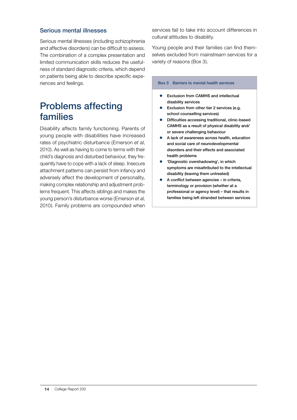#### Serious mental illnesses

Serious mental illnesses (including schizophrenia and affective disorders) can be difficult to assess. The combination of a complex presentation and limited communication skills reduces the usefulness of standard diagnostic criteria, which depend on patients being able to describe specific experiences and feelings.

#### Problems affecting families

Disability affects family functioning. Parents of young people with disabilities have increased rates of psychiatric disturbance (Emerson *et al*, 2010). As well as having to come to terms with their child's diagnosis and disturbed behaviour, they frequently have to cope with a lack of sleep. Insecure attachment patterns can persist from infancy and adversely affect the development of personality, making complex relationship and adjustment problems frequent. This affects siblings and makes the young person's disturbance worse (Emerson *et al*, 2010). Family problems are compounded when

services fail to take into account differences in cultural attitudes to disability.

Young people and their families can find themselves excluded from mainstream services for a variety of reasons (Box 3).

#### Box 3 Barriers to mental health services

- Exclusion from CAMHS and intellectual disability services
- Exclusion from other tier 2 services (e.g. school counselling services)
- Difficulties accessing traditional, clinic-based CAMHS as a result of physical disability and/ or severe challenging behaviour
- z A lack of awareness across health, education and social care of neurodevelopmental disorders and their effects and associated health problems
- 'Diagnostic overshadowing', in which symptoms are misattributed to the intellectual disability (leaving them untreated)
- $\bullet$  A conflict between agencies in criteria, terminology or provision (whether at a professional or agency level) – that results in families being left stranded between services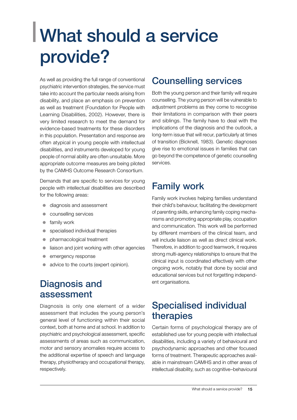## What should a service provide?

As well as providing the full range of conventional psychiatric intervention strategies, the service must take into account the particular needs arising from disability, and place an emphasis on prevention as well as treatment (Foundation for People with Learning Disabilities, 2002). However, there is very limited research to meet the demand for evidence-based treatments for these disorders in this population. Presentation and response are often atypical in young people with intellectual disabilities, and instruments developed for young people of normal ability are often unsuitable. More appropriate outcome measures are being piloted by the CAMHS Outcome Research Consortium.

Demands that are specific to services for young people with intellectual disabilities are described for the following areas:

- diagnosis and assessment
- z counselling services
- $\bullet$  family work
- specialised individual therapies
- pharmacological treatment
- liaison and joint working with other agencies
- emergency response
- advice to the courts (expert opinion).

#### Diagnosis and assessment

Diagnosis is only one element of a wider assessment that includes the young person's general level of functioning within their social context, both at home and at school. In addition to psychiatric and psychological assessment, specific assessments of areas such as communication, motor and sensory anomalies require access to the additional expertise of speech and language therapy, physiotherapy and occupational therapy, respectively.

#### Counselling services

Both the young person and their family will require counselling. The young person will be vulnerable to adjustment problems as they come to recognise their limitations in comparison with their peers and siblings. The family have to deal with the implications of the diagnosis and the outlook, a long-term issue that will recur, particularly at times of transition (Bicknell, 1983). Genetic diagnoses give rise to emotional issues in families that can go beyond the competence of genetic counselling services.

### Family work

Family work involves helping families understand their child's behaviour, facilitating the development of parenting skills, enhancing family coping mechanisms and promoting appropriate play, occupation and communication. This work will be performed by different members of the clinical team, and will include liaison as well as direct clinical work. Therefore, in addition to good teamwork, it requires strong multi-agency relationships to ensure that the clinical input is coordinated effectively with other ongoing work, notably that done by social and educational services but not forgetting independent organisations.

#### Specialised individual therapies

Certain forms of psychological therapy are of established use for young people with intellectual disabilities, including a variety of behavioural and psychodynamic approaches and other focused forms of treatment. Therapeutic approaches available in mainstream CAMHS and in other areas of intellectual disability, such as cognitive–behavioural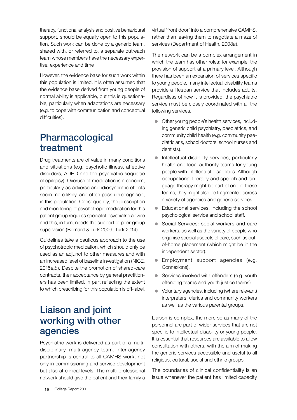therapy, functional analysis and positive behavioural support, should be equally open to this population. Such work can be done by a generic team, shared with, or referred to, a separate outreach team whose members have the necessary expertise, experience and time

However, the evidence base for such work within this population is limited. It is often assumed that the evidence base derived from young people of normal ability is applicable, but this is questionable, particularly when adaptations are necessary (e.g. to cope with communication and conceptual difficulties).

### Pharmacological treatment

Drug treatments are of value in many conditions and situations (e.g. psychotic illness, affective disorders, ADHD and the psychiatric sequelae of epilepsy). Overuse of medication is a concern, particularly as adverse and idiosyncratic effects seem more likely, and often pass unrecognised, in this population. Consequently, the prescription and monitoring of psychotropic medication for this patient group requires specialist psychiatric advice and this, in turn, needs the support of peer-group supervision (Bernard & Turk 2009; Turk 2014).

Guidelines take a cautious approach to the use of psychotropic medication, which should only be used as an adjunct to other measures and with an increased level of baseline investigation (NICE, 2015*a*,*b*). Despite the promotion of shared-care contracts, their acceptance by general practitioners has been limited, in part reflecting the extent to which prescribing for this population is off-label.

### Liaison and joint working with other agencies

Psychiatric work is delivered as part of a multidisciplinary, multi-agency team. Inter-agency partnership is central to all CAMHS work, not only in commissioning and service development but also at clinical levels. The multi-professional network should give the patient and their family a

virtual 'front door' into a comprehensive CAMHS, rather than leaving them to negotiate a maze of services (Department of Health, 2008*a*).

The network can be a complex arrangement in which the team has other roles; for example, the provision of support at a primary level. Although there has been an expansion of services specific to young people, many intellectual disability teams provide a lifespan service that includes adults. Regardless of how it is provided, the psychiatric service must be closely coordinated with all the following services.

- Other young people's health services, including generic child psychiatry, paediatrics, and community child health (e.g. community paediatricians, school doctors, school nurses and dentists).
- Intellectual disability services, particularly health and local authority teams for young people with intellectual disabilities. Although occupational therapy and speech and language therapy might be part of one of these teams, they might also be fragmented across a variety of agencies and generic services.
- Educational services, including the school psychological service and school staff.
- Social Services: social workers and care workers, as well as the variety of people who organise special aspects of care, such as outof-home placement (which might be in the independent sector).
- Employment support agencies (e.g. Connexions).
- $\bullet$  Services involved with offenders (e.g. youth offending teams and youth justice teams).
- Voluntary agencies, including (where relevant) interpreters, clerics and community workers as well as the various parental groups.

Liaison is complex, the more so as many of the personnel are part of wider services that are not specific to intellectual disability or young people. It is essential that resources are available to allow consultation with others, with the aim of making the generic services accessible and useful to all religious, cultural, social and ethnic groups.

The boundaries of clinical confidentiality is an issue whenever the patient has limited capacity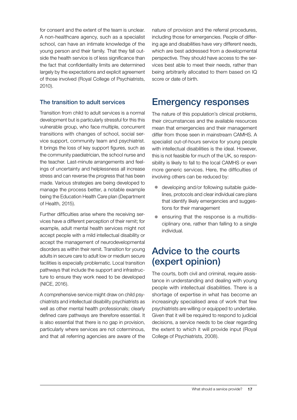for consent and the extent of the team is unclear. A non-healthcare agency, such as a specialist school, can have an intimate knowledge of the young person and their family. That they fall outside the health service is of less significance than the fact that confidentiality limits are determined largely by the expectations and explicit agreement of those involved (Royal College of Psychiatrists, 2010).

#### The transition to adult services

Transition from child to adult services is a normal development but is particularly stressful for this this vulnerable group, who face multiple, concurrent transitions with changes of school, social service support, community team and psychiatrist. It brings the loss of key support figures, such as the community paediatrician, the school nurse and the teacher. Last-minute arrangements and feelings of uncertainty and helplessness all increase stress and can reverse the progress that has been made. Various strategies are being developed to manage the process better, a notable example being the Education Health Care plan (Department of Health, 2015).

Further difficulties arise where the receiving services have a different perception of their remit; for example, adult mental health services might not accept people with a mild intellectual disability or accept the management of neurodevelopmental disorders as within their remit. Transition for young adults in secure care to adult low or medium secure facilities is especially problematic. Local transition pathways that include the support and infrastructure to ensure they work need to be developed (NICE, 2016).

A comprehensive service might draw on child psychiatrists and intellectual disability psychiatrists as well as other mental health professionals; clearly defined care pathways are therefore essential. It is also essential that there is no gap in provision, particularly where services are not coterminous, and that all referring agencies are aware of the

nature of provision and the referral procedures, including those for emergencies. People of differing age and disabilities have very different needs, which are best addressed from a developmental perspective. They should have access to the services best able to meet their needs, rather than being arbitrarily allocated to them based on IQ score or date of birth.

#### Emergency responses

The nature of this population's clinical problems, their circumstances and the available resources mean that emergencies and their management differ from those seen in mainstream CAMHS. A specialist out-of-hours service for young people with intellectual disabilities is the ideal. However, this is not feasible for much of the UK, so responsibility is likely to fall to the local CAMHS or even more generic services. Here, the difficulties of involving others can be reduced by:

- $\bullet$  developing and/or following suitable guidelines, protocols and clear individual care plans that identify likely emergencies and suggestions for their management
- ensuring that the response is a multidisciplinary one, rather than falling to a single individual.

#### Advice to the courts (expert opinion)

The courts, both civil and criminal, require assistance in understanding and dealing with young people with intellectual disabilities. There is a shortage of expertise in what has become an increasingly specialised area of work that few psychiatrists are willing or equipped to undertake. Given that it will be required to respond to judicial decisions, a service needs to be clear regarding the extent to which it will provide input (Royal College of Psychiatrists, 2008).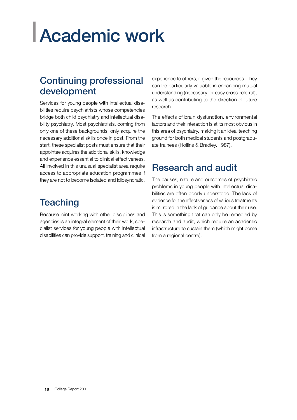# Academic work

### Continuing professional development

Services for young people with intellectual disabilities require psychiatrists whose competencies bridge both child psychiatry and intellectual disability psychiatry. Most psychiatrists, coming from only one of these backgrounds, only acquire the necessary additional skills once in post. From the start, these specialist posts must ensure that their appointee acquires the additional skills, knowledge and experience essential to clinical effectiveness. All involved in this unusual specialist area require access to appropriate education programmes if they are not to become isolated and idiosyncratic.

## **Teaching**

Because joint working with other disciplines and agencies is an integral element of their work, specialist services for young people with intellectual disabilities can provide support, training and clinical

experience to others, if given the resources. They can be particularly valuable in enhancing mutual understanding (necessary for easy cross-referral), as well as contributing to the direction of future research.

The effects of brain dysfunction, environmental factors and their interaction is at its most obvious in this area of psychiatry, making it an ideal teaching ground for both medical students and postgraduate trainees (Hollins & Bradley, 1987).

## Research and audit

The causes, nature and outcomes of psychiatric problems in young people with intellectual disabilities are often poorly understood. The lack of evidence for the effectiveness of various treatments is mirrored in the lack of guidance about their use. This is something that can only be remedied by research and audit, which require an academic infrastructure to sustain them (which might come from a regional centre).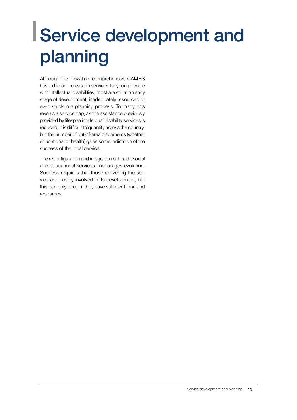## Service development and planning

Although the growth of comprehensive CAMHS has led to an increase in services for young people with intellectual disabilities, most are still at an early stage of development, inadequately resourced or even stuck in a planning process. To many, this reveals a service gap, as the assistance previously provided by lifespan intellectual disability services is reduced. It is difficult to quantify across the country, but the number of out-of-area placements (whether educational or health) gives some indication of the success of the local service.

The reconfiguration and integration of health, social and educational services encourages evolution. Success requires that those delivering the service are closely involved in its development, but this can only occur if they have sufficient time and resources.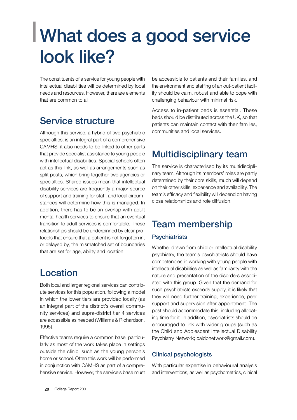## What does a good service look like?

The constituents of a service for young people with intellectual disabilities will be determined by local needs and resources. However, there are elements that are common to all.

## Service structure

Although this service, a hybrid of two psychiatric specialties, is an integral part of a comprehensive CAMHS, it also needs to be linked to other parts that provide specialist assistance to young people with intellectual disabilities. Special schools often act as this link, as well as arrangements such as split posts, which bring together two agencies or specialties. Shared issues mean that intellectual disability services are frequently a major source of support and training for staff, and local circumstances will determine how this is managed. In addition, there has to be an overlap with adult mental health services to ensure that an eventual transition to adult services is comfortable. These relationships should be underpinned by clear protocols that ensure that a patient is not forgotten in, or delayed by, the mismatched set of boundaries that are set for age, ability and location.

## Location

Both local and larger regional services can contribute services for this population, following a model in which the lower tiers are provided locally (as an integral part of the district's overall community services) and supra-district tier 4 services are accessible as needed (Williams & Richardson, 1995).

Effective teams require a common base, particularly as most of the work takes place in settings outside the clinic, such as the young person's home or school. Often this work will be performed in conjunction with CAMHS as part of a comprehensive service. However, the service's base must be accessible to patients and their families, and the environment and staffing of an out-patient facility should be calm, robust and able to cope with challenging behaviour with minimal risk.

Access to in-patient beds is essential. These beds should be distributed across the UK, so that patients can maintain contact with their families, communities and local services.

## Multidisciplinary team

The service is characterised by its multidisciplinary team. Although its members' roles are partly determined by their core skills, much will depend on their other skills, experience and availability. The team's efficacy and flexibility will depend on having close relationships and role diffusion.

## Team membership

#### **Psychiatrists**

Whether drawn from child or intellectual disability psychiatry, the team's psychiatrists should have competencies in working with young people with intellectual disabilities as well as familiarity with the nature and presentation of the disorders associated with this group. Given that the demand for such psychiatrists exceeds supply, it is likely that they will need further training, experience, peer support and supervision after appointment. The post should accommodate this, including allocating time for it. In addition, psychiatrists should be encouraged to link with wider groups (such as the Child and Adolescent Intellectual Disability Psychiatry Network; caidpnetwork@gmail.com).

#### Clinical psychologists

With particular expertise in behavioural analysis and interventions, as well as psychometrics, clinical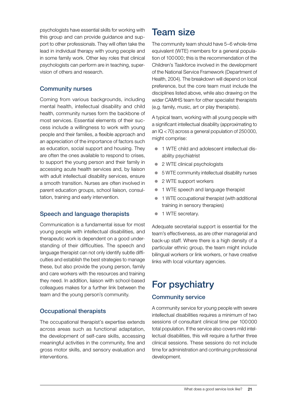psychologists have essential skills for working with this group and can provide guidance and support to other professionals. They will often take the lead in individual therapy with young people and in some family work. Other key roles that clinical psychologists can perform are in teaching, supervision of others and research.

#### Community nurses

Coming from various backgrounds, including mental health, intellectual disability and child health, community nurses form the backbone of most services. Essential elements of their success include a willingness to work with young people and their families, a flexible approach and an appreciation of the importance of factors such as education, social support and housing. They are often the ones available to respond to crises, to support the young person and their family in accessing acute health services and, by liaison with adult intellectual disability services, ensure a smooth transition. Nurses are often involved in parent education groups, school liaison, consultation, training and early intervention.

#### Speech and language therapists

Communication is a fundamental issue for most young people with intellectual disabilities, and therapeutic work is dependent on a good understanding of their difficulties. The speech and language therapist can not only identify subtle difficulties and establish the best strategies to manage these, but also provide the young person, family and care workers with the resources and training they need. In addition, liaison with school-based colleagues makes for a further link between the team and the young person's community.

#### Occupational therapists

The occupational therapist's expertise extends across areas such as functional adaptation, the development of self-care skills, accessing meaningful activities in the community, fine and gross motor skills, and sensory evaluation and interventions.

#### Team size

The community team should have 5–6 whole-time equivalent (WTE) members for a general population of 100000; this is the recommendation of the Children's Taskforce involved in the development of the National Service Framework (Department of Health, 2004). The breakdown will depend on local preference, but the core team must include the disciplines listed above, while also drawing on the wider CAMHS team for other specialist therapists (e.g. family, music, art or play therapists).

A typical team, working with all young people with a significant intellectual disability (approximating to an IQ <70) across a general population of 250000, might comprise:

- 1 WTE child and adolescent intellectual disability psychiatrist
- 2 WTE clinical psychologists
- 5 WTE community intellectual disability nurses
- 2 WTE support workers
- 1 WTE speech and language therapist
- 1 WTE occupational therapist (with additional training in sensory therapies)
- 1 WTE secretary.

Adequate secretarial support is essential for the team's effectiveness, as are other managerial and back-up staff. Where there is a high density of a particular ethnic group, the team might include bilingual workers or link workers, or have creative links with local voluntary agencies.

## For psychiatry

#### Community service

A community service for young people with severe intellectual disabilities requires a minimum of two sessions of consultant clinical time per 100000 total population. If the service also covers mild intellectual disabilities, this will require a further three clinical sessions. These sessions do not include time for administration and continuing professional development.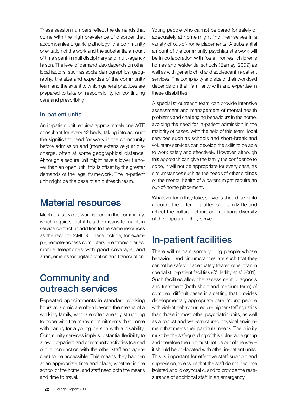These session numbers reflect the demands that come with the high prevalence of disorder that accompanies organic pathology, the community orientation of the work and the substantial amount of time spent in multidisciplinary and multi-agency liaison. The level of demand also depends on other local factors, such as social demographics, geography, the size and expertise of the community team and the extent to which general practices are prepared to take on responsibility for continuing care and prescribing.

#### In-patient units

An in-patient unit requires approximately one WTE consultant for every 12 beds, taking into account the significant need for work in the community before admission and (more extensively) at discharge, often at some geographical distance. Although a secure unit might have a lower turnover than an open unit, this is offset by the greater demands of the legal framework. The in-patient unit might be the base of an outreach team.

#### Material resources

Much of a service's work is done in the community, which requires that it has the means to maintain service contact, in addition to the same resources as the rest of CAMHS. These include, for example, remote-access computers, electronic diaries, mobile telephones with good coverage, and arrangements for digital dictation and transcription.

#### Community and outreach services

Repeated appointments in standard working hours at a clinic are often beyond the means of a working family, who are often already struggling to cope with the many commitments that come with caring for a young person with a disability. Community services imply substantial flexibility to allow out-patient and community activities (carried out in conjunction with the other staff and agencies) to be accessible. This means they happen at an appropriate time and place, whether in the school or the home, and staff need both the means and time to travel.

Young people who cannot be cared for safely or adequately at home might find themselves in a variety of out-of-home placements. A substantial amount of the community psychiatrist's work will be in collaboration with foster homes, children's homes and residential schools (Berney, 2009) as well as with generic child and adolescent in-patient services. The complexity and size of their workload depends on their familiarity with and expertise in these disabilities.

A specialist outreach team can provide intensive assessment and management of mental health problems and challenging behaviours in the home, avoiding the need for in-patient admission in the majority of cases. With the help of this team, local services such as schools and short-break and voluntary services can develop the skills to be able to work safely and effectively. However, although this approach can give the family the confidence to cope, it will not be appropriate for every case, as circumstances such as the needs of other siblings or the mental health of a parent might require an out-of-home placement.

Whatever form they take, services should take into account the different patterns of family life and reflect the cultural, ethnic and religious diversity of the population they serve.

## In-patient facilities

There will remain some young people whose behaviour and circumstances are such that they cannot be safely or adequately treated other than in specialist in-patient facilities (O'Herlihy *et al*, 2001). Such facilities allow the assessment, diagnosis and treatment (both short and medium term) of complex, difficult cases in a setting that provides developmentally appropriate care. Young people with violent behaviour require higher staffing ratios than those in most other psychiatric units, as well as a robust and well-structured physical environment that meets their particular needs. The priority must be the safeguarding of this vulnerable group and therefore the unit must not be out of the way – it should be co-located with other in-patient units. This is important for effective staff support and supervision, to ensure that the staff do not become isolated and idiosyncratic, and to provide the reassurance of additional staff in an emergency.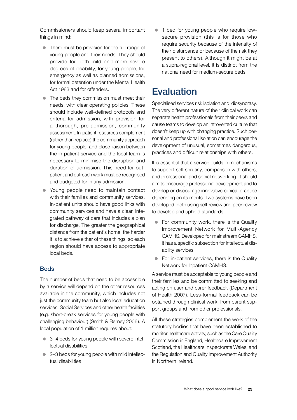Commissioners should keep several important things in mind:

- $\bullet$  There must be provision for the full range of young people and their needs. They should provide for both mild and more severe degrees of disability, for young people, for emergency as well as planned admissions, for formal detention under the Mental Health Act 1983 and for offenders.
- $\bullet$  The beds they commission must meet their needs, with clear operating policies. These should include well-defined protocols and criteria for admission, with provision for a thorough, pre-admission, community assessment. In-patient resources complement (rather than replace) the community approach for young people, and close liaison between the in-patient service and the local team is necessary to minimise the disruption and duration of admission. This need for outpatient and outreach work must be recognised and budgeted for in any admission.
- Young people need to maintain contact with their families and community services. In-patient units should have good links with community services and have a clear, integrated pathway of care that includes a plan for discharge. The greater the geographical distance from the patient's home, the harder it is to achieve either of these things, so each region should have access to appropriate local beds.

#### **Beds**

The number of beds that need to be accessible by a service will depend on the other resources available in the community, which includes not just the community team but also local education services, Social Services and other health facilities (e.g. short-break services for young people with challenging behaviour) (Smith & Berney 2006). A local population of 1 million requires about:

- 3–4 beds for young people with severe intellectual disabilities
- 2–3 beds for young people with mild intellectual disabilities

• 1 bed for young people who require lowsecure provision (this is for those who require security because of the intensity of their disturbance or because of the risk they present to others). Although it might be at a supra-regional level, it is distinct from the national need for medium-secure beds.

### **Evaluation**

Specialised services risk isolation and idiosyncrasy. The very different nature of their clinical work can separate health professionals from their peers and cause teams to develop an introverted culture that doesn't keep up with changing practice. Such personal and professional isolation can encourage the development of unusual, sometimes dangerous, practices and difficult relationships with others.

It is essential that a service builds in mechanisms to support self-scrutiny, comparison with others, and professional and social networking. It should aim to encourage professional development and to develop or discourage innovative clinical practice depending on its merits. Two systems have been developed, both using self-review and peer review to develop and uphold standards.

- $\bullet$  For community work, there is the Quality Improvement Network for Multi-Agency CAMHS. Developed for mainstream CAMHS, it has a specific subsection for intellectual disability services.
- For in-patient services, there is the Quality Network for Inpatient CAMHS.

A service must be acceptable to young people and their families and be committed to seeking and acting on user and carer feedback (Department of Health 2007). Less-formal feedback can be obtained through clinical work, from parent support groups and from other professionals.

All these strategies complement the work of the statutory bodies that have been established to monitor healthcare activity, such as the Care Quality Commission in England, Healthcare Improvement Scotland, the Healthcare Inspectorate Wales, and the Regulation and Quality Improvement Authority in Northern Ireland.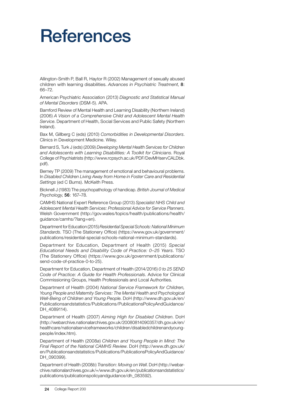## References

Allington-Smith P, Ball R, Haytor R (2002) Management of sexually abused children with learning disabilities. *Advances in Psychiatric Treatment*, 8: 66–72.

American Psychiatric Association (2013) *Diagnostic and Statistical Manual of Mental Disorders* (DSM-5). APA.

Bamford Review of Mental Health and Learning Disability (Northern Ireland) (2006) *A Vision of a Comprehensive Child and Adolescent Mental Health Service*. Department of Health, Social Services and Public Safety (Northern Ireland).

Bax M, Gillberg C (eds) (2010) *Comorbidities in Developmental Disorders*. Clinics in Development Medicine. Wiley.

Bernard S, Turk J (eds) (2009) *Developing Mental Health Services for Children and Adolescents with Learning Disabilities: A Toolkit for Clinicians*. Royal College of Psychiatrists (http://www.rcpsych.ac.uk/PDF/DevMHservCALDbk. pdf).

Berney TP (2009) The management of emotional and behavioural problems. In *Disabled Children Living Away from Home in Foster Care and Residential Settings* (ed C Burns). McKeith Press.

Bicknell J (1983) The psychopathology of handicap. *British Journal of Medical Psychology*, 56: 167–78.

CAMHS National Expert Reference Group (2013) *Specialist NHS Child and Adolescent Mental Health Services: Professional Advice for Service Planners*. Welsh Government (http://gov.wales/topics/health/publications/health/ guidance/camhs/?lang=en).

Department for Education (2015) *Residential Special Schools: National Minimum Standards*. TSO (The Stationery Office) (https://www.gov.uk/government/ publications/residential-special-schools-national-minimum-standards).

Department for Education, Department of Health (2015) *Special Educational Needs and Disability Code of Practice: 0–25 Years*. TSO (The Stationery Office) (https://www.gov.uk/government/publications/ send-code-of-practice-0-to-25).

Department for Education, Department of Health (2014/2016) *0 to 25 SEND Code of Practice: A Guide for Health Professionals*. Advice for Clinical Commissioning Groups, Health Professionals and Local Authorities.

Department of Health (2004) *National Service Framework for Children, Young People and Maternity Services: The Mental Health and Psychological Well-Being of Children and Young People*. DoH (http://www.dh.gov.uk/en/ Publicationsandstatistics/Publications/PublicationsPolicyAndGuidance/ DH 4089114).

Department of Health (2007) *Aiming High for Disabled Children*. DoH (http://webarchive.nationalarchives.gov.uk/20080814090357/dh.gov.uk/en/ healthcare/nationalserviceframeworks/children/disabledchildrenandyoungpeople/index.htm).

Department of Health (2008*a*) *Children and Young People in Mind: The Final Report of the National CAMHS Review*. DoH (http://www.dh.gov.uk/ en/Publicationsandstatistics/Publications/PublicationsPolicyAndGuidance/ DH\_090399).

Department of Health (2008*b*) *Transition: Moving on Well*. DoH (http://webarchive.nationalarchives.gov.uk/+/www.dh.gov.uk/en/publicationsandstatistics/ publications/publicationspolicyandguidance/dh\_083592).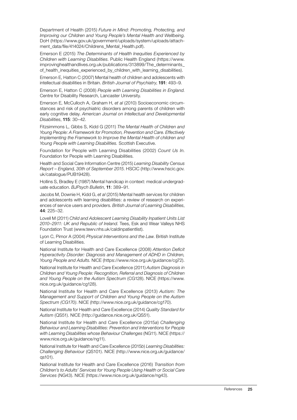Department of Health (2015) *Future in Mind: Promoting, Protecting, and Improving our Children and Young People's Mental Health and Wellbeing*. DoH (https://www.gov.uk/government/uploads/system/uploads/attachment\_data/file/414024/Childrens\_Mental\_Health.pdf).

Emerson E (2015) *The Determinants of Health Inequities Experienced by Children with Learning Disablities*. Public Health England (https://www. improvinghealthandlives.org.uk/publications/313899/The\_determinants of\_health\_inequities\_experienced\_by\_children\_with\_learning\_disabilities).

Emerson E, Hatton C (2007) Mental health of children and adolescents with intellectual disabilities in Britain. *British Journal of Psychiatry*, 191: 493–9.

Emerson E, Hatton C (2008) *People with Learning Disabilities in England*. Centre for Disability Research, Lancaster University.

Emerson E, McCulloch A, Graham H, *et al* (2010) Socioeconomic circumstances and risk of psychiatric disorders among parents of children with early cognitive delay. *American Journal on Intellectual and Developmental Disabilities*, 115: 30–42.

Fitzsimmons L, Gibbs S, Kidd G (2011) *The Mental Health of Children and Young People: A Framework for Promotion, Prevention and Care. Effectively Implementing the Framework to Improve the Mental Health of children and Young People with Learning Disabilities.* Scottish Executive.

Foundation for People with Learning Disabilities (2002) *Count Us In*. Foundation for People with Learning Disabilities.

Health and Social Care Information Centre (2015) *Learning Disability Census Report – England, 30th of September 2015*. HSCIC (http://www.hscic.gov. uk/catalogue/PUB19428).

Hollins S, Bradley E (1987) Mental handicap in context: medical undergraduate education. *BJPsych Bulletin*, 11: 389–91.

Jacobs M, Downie H, Kidd G, *et al* (2015) Mental health services for children and adolescents with learning disabilities: a review of research on experiences of service users and providers. *British Journal of Learning Disabilities*, 44: 225–32.

Lovell M (2011) *Child and Adolescent Learning Disability Inpatient Units List 2010–2911: UK and Republic of Ireland*. Tees, Esk and Wear Valleys NHS Foundation Trust (www.tewv.nhs.uk/caldinpatientlist).

Lyon C, Pimor A (2004) *Physical Interventions and the Law*. British Institute of Learning Disabilities.

National Institute for Health and Care Excellence (2008) *Attention Deficit Hyperactivity Disorder: Diagnosis and Management of ADHD in Children, Young People and Adults*. NICE (https://www.nice.org.uk/guidance/cg72).

National Institute for Health and Care Excellence (2011) *Autism Diagnosis in Children and Young People: Recognition, Referral and Diagnosis of Children and Young People on the Autism Spectrum* (CG128). NICE (https://www. nice.org.uk/guidance/cg128).

National Institute for Health and Care Excellence (2013) *Autism: The Management and Support of Children and Young People on the Autism Spectrum (CG170)*. NICE (http://www.nice.org.uk/guidance/cg170).

National Institute for Health and Care Excellence (2014) *Quality Standard for Autism* (QS51). NICE (http://guidance.nice.org.uk/QS51).

National Institute for Health and Care Excellence (2015*a*) *Challenging Behaviour and Learning Disabilities: Prevention and Interventions for People with Learning Disabilities whose Behaviour Challenges* (NG11). NICE (https:// www.nice.org.uk/guidance/ng11).

National Institute for Health and Care Excellence (2015*b*) *Learning Disabilities: Challenging Behaviour* (QS101). NICE (http://www.nice.org.uk/guidance/ qs101).

National Institute for Health and Care Excellence (2016) *Transition from Children's to Adults' Services for Young People Using Health or Social Care Services* (NG43). NICE (https://www.nice.org.uk/guidance/ng43).